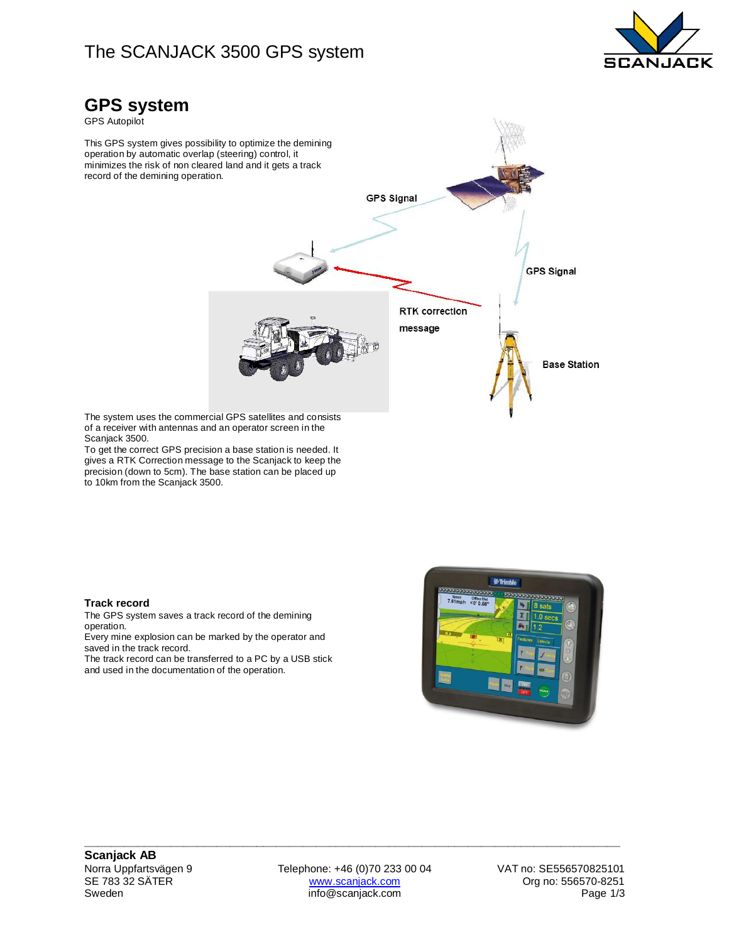### The SCANJACK 3500 GPS system



### **GPS system**

GPS Autopilot

This GPS system gives possibility to optimize the demining operation by automatic overlap (steering) control, it minimizes the risk of non cleared land and it gets a track record of the demining operation.



The system uses the commercial GPS satellites and consists of a receiver with antennas and an operator screen in the Scanjack 3500.

To get the correct GPS precision a base station is needed. It gives a RTK Correction message to the Scanjack to keep the precision (down to 5cm). The base station can be placed up to 10km from the Scanjack 3500.

#### **Track record**

The GPS system saves a track record of the demining operation.

Every mine explosion can be marked by the operator and saved in the track record.

The track record can be transferred to a PC by a USB stick and used in the documentation of the operation.



Norra Uppfartsvägen 9 Telephone: +46 (0)70 233 00 04 VAT no: SE556570825101<br>SE 783 32 SÄTER www.scanjack.com Crg no: 556570-8251 SE 783 32 SÄTER www.scanjack.com www.scanjack.com Org no: 556570-8251<br>3/1/Sweden Page 1/3 info@scanjack.com Page 1

**\_\_\_\_\_\_\_\_\_\_\_\_\_\_\_\_\_\_\_\_\_\_\_\_\_\_\_\_\_\_\_\_\_\_\_\_\_\_\_\_\_\_\_\_\_\_\_\_\_\_\_\_\_\_\_\_\_\_\_\_\_\_\_\_\_\_\_\_\_\_\_\_\_\_\_\_\_\_\_\_\_**

info@scanjack.com Page 1/3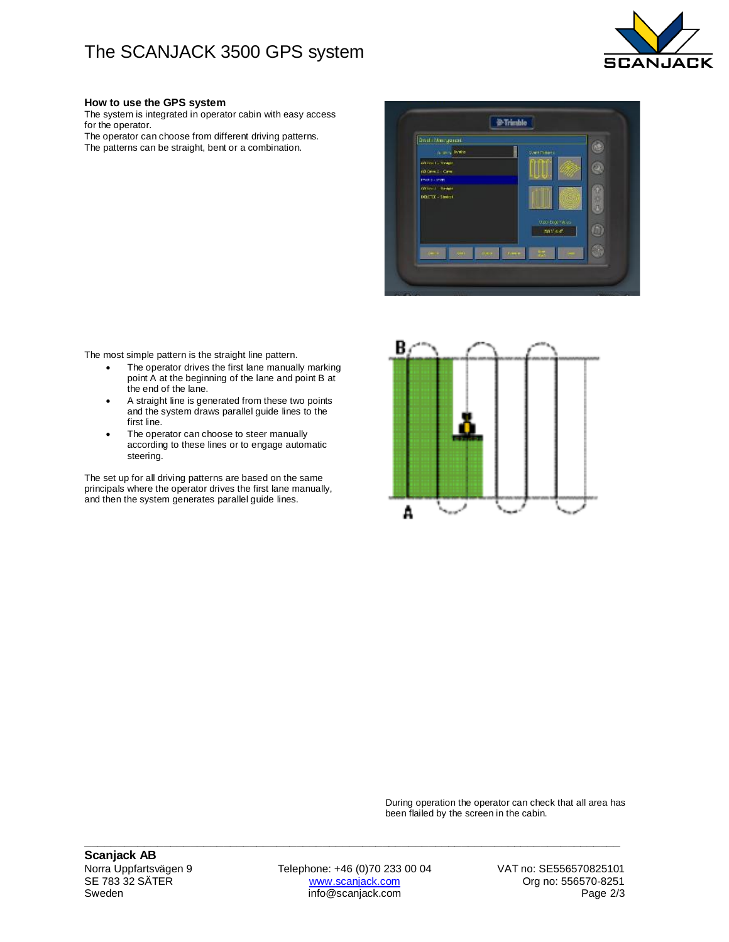## The SCANJACK 3500 GPS system



#### **How to use the GPS system**

The system is integrated in operator cabin with easy access for the operator. The operator can choose from different driving patterns.

The patterns can be straight, bent or a combination.



The most simple pattern is the straight line pattern.

- The operator drives the first lane manually marking point A at the beginning of the lane and point B at the end of the lane.
- A straight line is generated from these two points and the system draws parallel guide lines to the first line.
- The operator can choose to steer manually according to these lines or to engage automatic steering.

The set up for all driving patterns are based on the same principals where the operator drives the first lane manually, and then the system generates parallel guide lines.



During operation the operator can check that all area has been flailed by the screen in the cabin.

Norra Uppfartsvägen 9 Telephone: +46 (0)70 233 00 04 VAT no: SE556570825101<br>SE 783 32 SÄTER www.scanjack.com Crg no: 556570-8251 SE 783 32 SÄTER www.scanjack.com www.scanjack.com Org no: 556570-8251<br>2/3 Sweden Page 2/3

**\_\_\_\_\_\_\_\_\_\_\_\_\_\_\_\_\_\_\_\_\_\_\_\_\_\_\_\_\_\_\_\_\_\_\_\_\_\_\_\_\_\_\_\_\_\_\_\_\_\_\_\_\_\_\_\_\_\_\_\_\_\_\_\_\_\_\_\_\_\_\_\_\_\_\_\_\_\_\_\_\_**

info@scanjack.com Page 2/3